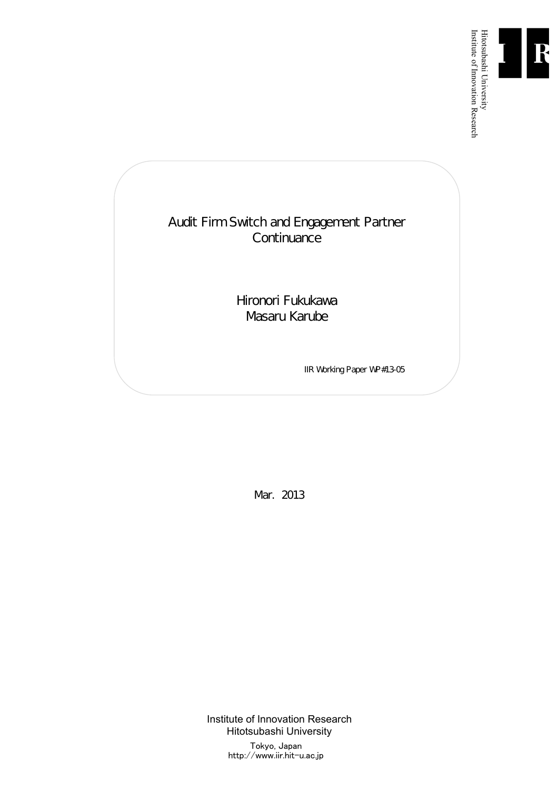

Institute of Innovation Research

# Audit Firm Switch and Engagement Partner **Continuance**

Hironori Fukukawa Masaru Karube

IIR Working Paper WP#13-05

Mar. 2013

Institute of Innovation Research Hitotsubashi University Tokyo, Japan http://www.iir.hit-u.ac.jp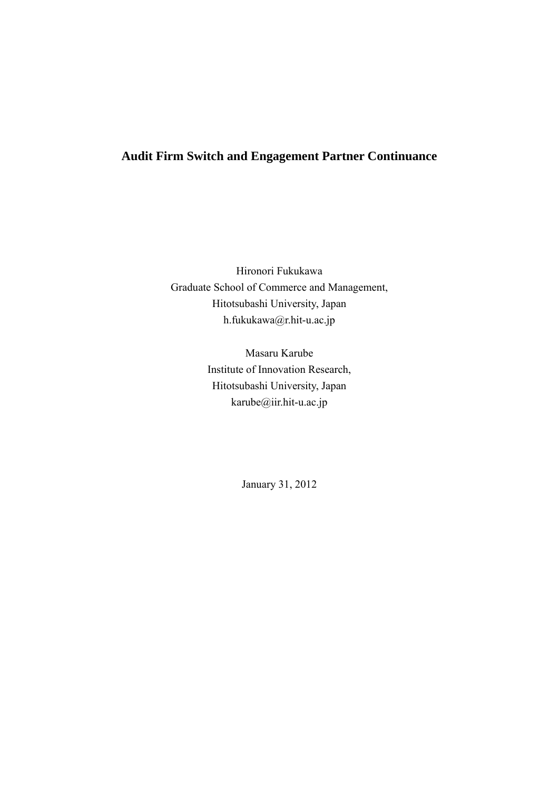## **Audit Firm Switch and Engagement Partner Continuance**

Hironori Fukukawa Graduate School of Commerce and Management, Hitotsubashi University, Japan h.fukukawa@r.hit-u.ac.jp

> Masaru Karube Institute of Innovation Research, Hitotsubashi University, Japan karube@iir.hit-u.ac.jp

> > January 31, 2012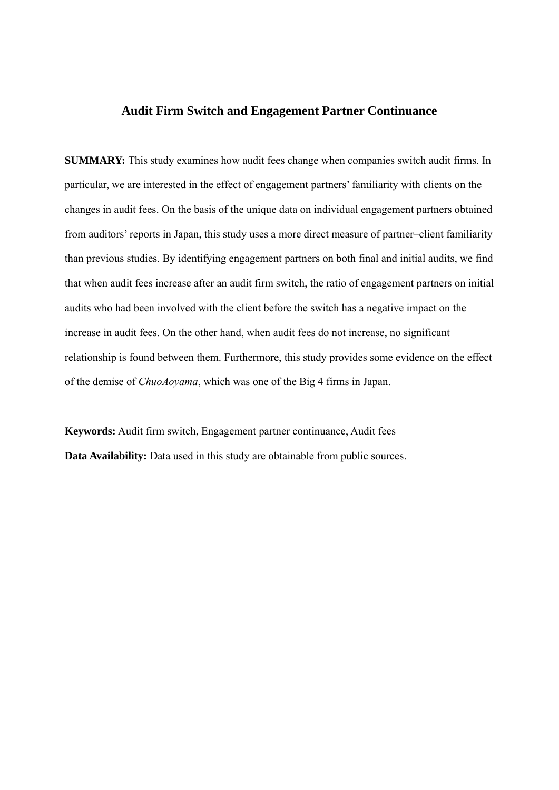## **Audit Firm Switch and Engagement Partner Continuance**

**SUMMARY:** This study examines how audit fees change when companies switch audit firms. In particular, we are interested in the effect of engagement partners' familiarity with clients on the changes in audit fees. On the basis of the unique data on individual engagement partners obtained from auditors' reports in Japan, this study uses a more direct measure of partner–client familiarity than previous studies. By identifying engagement partners on both final and initial audits, we find that when audit fees increase after an audit firm switch, the ratio of engagement partners on initial audits who had been involved with the client before the switch has a negative impact on the increase in audit fees. On the other hand, when audit fees do not increase, no significant relationship is found between them. Furthermore, this study provides some evidence on the effect of the demise of *ChuoAoyama*, which was one of the Big 4 firms in Japan.

**Keywords:** Audit firm switch, Engagement partner continuance, Audit fees **Data Availability:** Data used in this study are obtainable from public sources.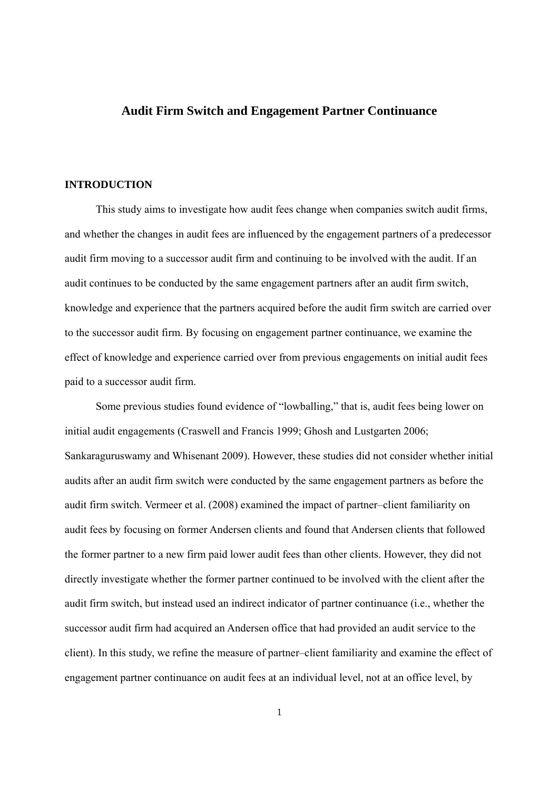## **Audit Firm Switch and Engagement Partner Continuance**

#### **INTRODUCTION**

This study aims to investigate how audit fees change when companies switch audit firms, and whether the changes in audit fees are influenced by the engagement partners of a predecessor audit firm moving to a successor audit firm and continuing to be involved with the audit. If an audit continues to be conducted by the same engagement partners after an audit firm switch, knowledge and experience that the partners acquired before the audit firm switch are carried over to the successor audit firm. By focusing on engagement partner continuance, we examine the effect of knowledge and experience carried over from previous engagements on initial audit fees paid to a successor audit firm.

Some previous studies found evidence of "lowballing," that is, audit fees being lower on initial audit engagements (Craswell and Francis 1999; Ghosh and Lustgarten 2006; Sankaraguruswamy and Whisenant 2009). However, these studies did not consider whether initial audits after an audit firm switch were conducted by the same engagement partners as before the audit firm switch. Vermeer et al. (2008) examined the impact of partner–client familiarity on audit fees by focusing on former Andersen clients and found that Andersen clients that followed the former partner to a new firm paid lower audit fees than other clients. However, they did not directly investigate whether the former partner continued to be involved with the client after the audit firm switch, but instead used an indirect indicator of partner continuance (i.e., whether the successor audit firm had acquired an Andersen office that had provided an audit service to the client). In this study, we refine the measure of partner–client familiarity and examine the effect of engagement partner continuance on audit fees at an individual level, not at an office level, by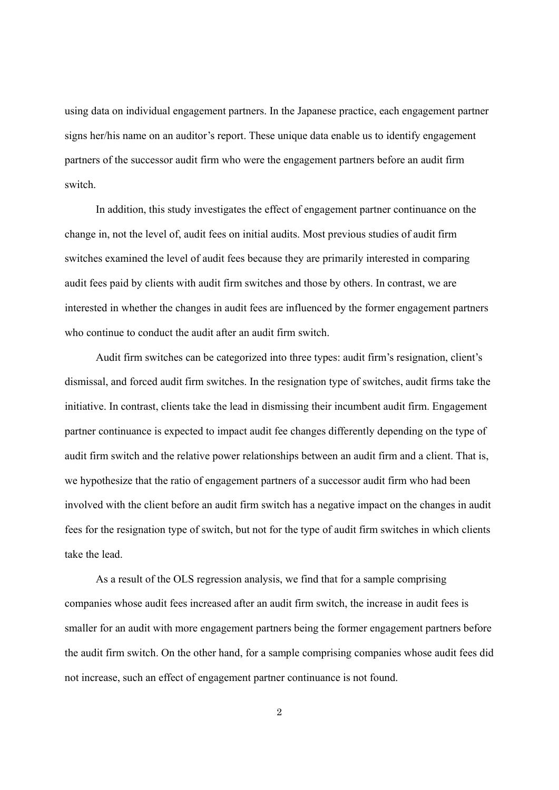using data on individual engagement partners. In the Japanese practice, each engagement partner signs her/his name on an auditor's report. These unique data enable us to identify engagement partners of the successor audit firm who were the engagement partners before an audit firm switch.

In addition, this study investigates the effect of engagement partner continuance on the change in, not the level of, audit fees on initial audits. Most previous studies of audit firm switches examined the level of audit fees because they are primarily interested in comparing audit fees paid by clients with audit firm switches and those by others. In contrast, we are interested in whether the changes in audit fees are influenced by the former engagement partners who continue to conduct the audit after an audit firm switch.

Audit firm switches can be categorized into three types: audit firm's resignation, client's dismissal, and forced audit firm switches. In the resignation type of switches, audit firms take the initiative. In contrast, clients take the lead in dismissing their incumbent audit firm. Engagement partner continuance is expected to impact audit fee changes differently depending on the type of audit firm switch and the relative power relationships between an audit firm and a client. That is, we hypothesize that the ratio of engagement partners of a successor audit firm who had been involved with the client before an audit firm switch has a negative impact on the changes in audit fees for the resignation type of switch, but not for the type of audit firm switches in which clients take the lead.

As a result of the OLS regression analysis, we find that for a sample comprising companies whose audit fees increased after an audit firm switch, the increase in audit fees is smaller for an audit with more engagement partners being the former engagement partners before the audit firm switch. On the other hand, for a sample comprising companies whose audit fees did not increase, such an effect of engagement partner continuance is not found.

2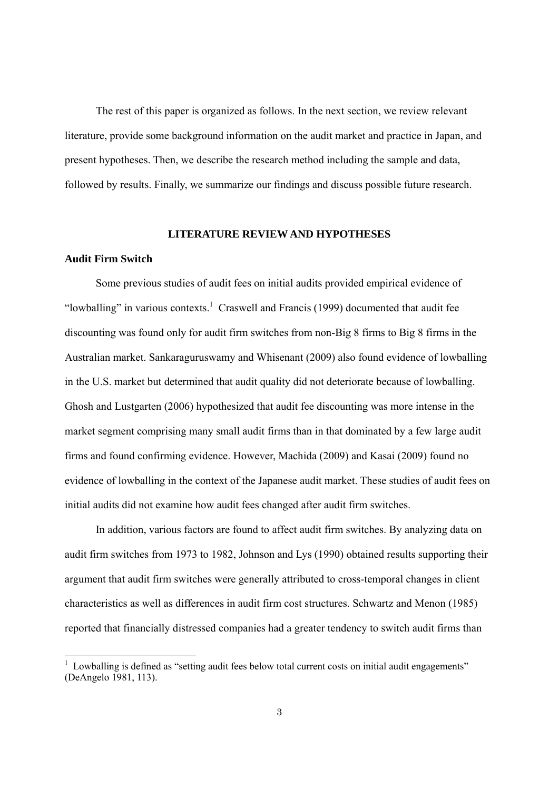The rest of this paper is organized as follows. In the next section, we review relevant literature, provide some background information on the audit market and practice in Japan, and present hypotheses. Then, we describe the research method including the sample and data, followed by results. Finally, we summarize our findings and discuss possible future research.

#### **LITERATURE REVIEW AND HYPOTHESES**

#### **Audit Firm Switch**

 $\overline{a}$ 

Some previous studies of audit fees on initial audits provided empirical evidence of "lowballing" in various contexts.<sup>1</sup> Craswell and Francis (1999) documented that audit fee discounting was found only for audit firm switches from non-Big 8 firms to Big 8 firms in the Australian market. Sankaraguruswamy and Whisenant (2009) also found evidence of lowballing in the U.S. market but determined that audit quality did not deteriorate because of lowballing. Ghosh and Lustgarten (2006) hypothesized that audit fee discounting was more intense in the market segment comprising many small audit firms than in that dominated by a few large audit firms and found confirming evidence. However, Machida (2009) and Kasai (2009) found no evidence of lowballing in the context of the Japanese audit market. These studies of audit fees on initial audits did not examine how audit fees changed after audit firm switches.

In addition, various factors are found to affect audit firm switches. By analyzing data on audit firm switches from 1973 to 1982, Johnson and Lys (1990) obtained results supporting their argument that audit firm switches were generally attributed to cross-temporal changes in client characteristics as well as differences in audit firm cost structures. Schwartz and Menon (1985) reported that financially distressed companies had a greater tendency to switch audit firms than

<sup>1</sup> Lowballing is defined as "setting audit fees below total current costs on initial audit engagements" (DeAngelo 1981, 113).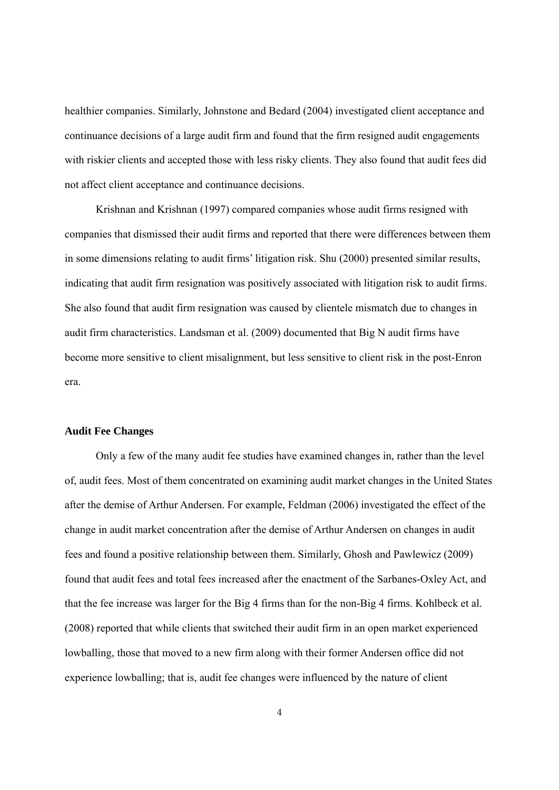healthier companies. Similarly, Johnstone and Bedard (2004) investigated client acceptance and continuance decisions of a large audit firm and found that the firm resigned audit engagements with riskier clients and accepted those with less risky clients. They also found that audit fees did not affect client acceptance and continuance decisions.

Krishnan and Krishnan (1997) compared companies whose audit firms resigned with companies that dismissed their audit firms and reported that there were differences between them in some dimensions relating to audit firms' litigation risk. Shu (2000) presented similar results, indicating that audit firm resignation was positively associated with litigation risk to audit firms. She also found that audit firm resignation was caused by clientele mismatch due to changes in audit firm characteristics. Landsman et al. (2009) documented that Big N audit firms have become more sensitive to client misalignment, but less sensitive to client risk in the post-Enron era.

### **Audit Fee Changes**

Only a few of the many audit fee studies have examined changes in, rather than the level of, audit fees. Most of them concentrated on examining audit market changes in the United States after the demise of Arthur Andersen. For example, Feldman (2006) investigated the effect of the change in audit market concentration after the demise of Arthur Andersen on changes in audit fees and found a positive relationship between them. Similarly, Ghosh and Pawlewicz (2009) found that audit fees and total fees increased after the enactment of the Sarbanes-Oxley Act, and that the fee increase was larger for the Big 4 firms than for the non-Big 4 firms. Kohlbeck et al. (2008) reported that while clients that switched their audit firm in an open market experienced lowballing, those that moved to a new firm along with their former Andersen office did not experience lowballing; that is, audit fee changes were influenced by the nature of client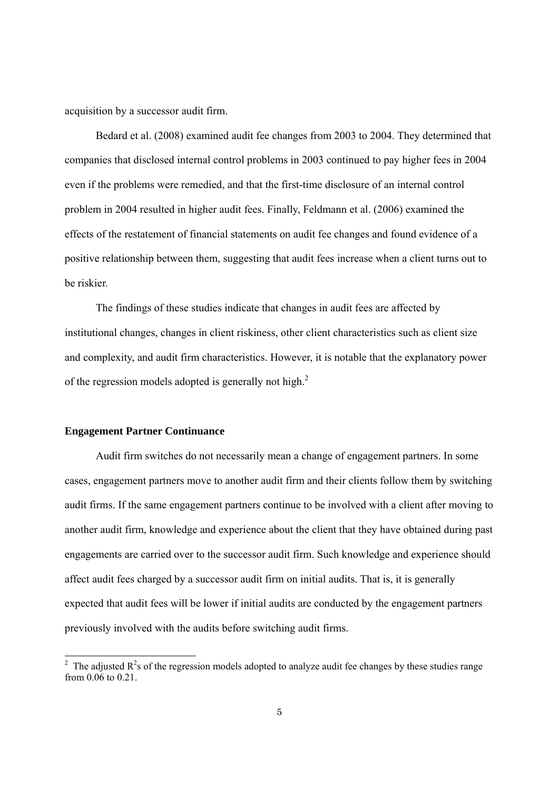acquisition by a successor audit firm.

Bedard et al. (2008) examined audit fee changes from 2003 to 2004. They determined that companies that disclosed internal control problems in 2003 continued to pay higher fees in 2004 even if the problems were remedied, and that the first-time disclosure of an internal control problem in 2004 resulted in higher audit fees. Finally, Feldmann et al. (2006) examined the effects of the restatement of financial statements on audit fee changes and found evidence of a positive relationship between them, suggesting that audit fees increase when a client turns out to be riskier.

The findings of these studies indicate that changes in audit fees are affected by institutional changes, changes in client riskiness, other client characteristics such as client size and complexity, and audit firm characteristics. However, it is notable that the explanatory power of the regression models adopted is generally not high. $^{2}$ 

### **Engagement Partner Continuance**

 $\overline{a}$ 

Audit firm switches do not necessarily mean a change of engagement partners. In some cases, engagement partners move to another audit firm and their clients follow them by switching audit firms. If the same engagement partners continue to be involved with a client after moving to another audit firm, knowledge and experience about the client that they have obtained during past engagements are carried over to the successor audit firm. Such knowledge and experience should affect audit fees charged by a successor audit firm on initial audits. That is, it is generally expected that audit fees will be lower if initial audits are conducted by the engagement partners previously involved with the audits before switching audit firms.

<sup>&</sup>lt;sup>2</sup> The adjusted  $R^2$ s of the regression models adopted to analyze audit fee changes by these studies range from 0.06 to 0.21.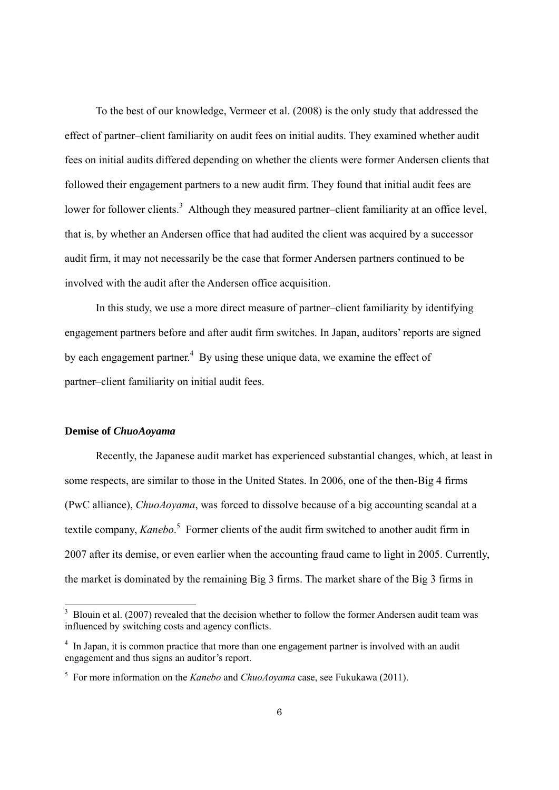To the best of our knowledge, Vermeer et al. (2008) is the only study that addressed the effect of partner–client familiarity on audit fees on initial audits. They examined whether audit fees on initial audits differed depending on whether the clients were former Andersen clients that followed their engagement partners to a new audit firm. They found that initial audit fees are lower for follower clients.<sup>3</sup> Although they measured partner-client familiarity at an office level, that is, by whether an Andersen office that had audited the client was acquired by a successor audit firm, it may not necessarily be the case that former Andersen partners continued to be involved with the audit after the Andersen office acquisition.

In this study, we use a more direct measure of partner–client familiarity by identifying engagement partners before and after audit firm switches. In Japan, auditors' reports are signed by each engagement partner.<sup>4</sup> By using these unique data, we examine the effect of partner–client familiarity on initial audit fees.

## **Demise of** *ChuoAoyama*

1

Recently, the Japanese audit market has experienced substantial changes, which, at least in some respects, are similar to those in the United States. In 2006, one of the then-Big 4 firms (PwC alliance), *ChuoAoyama*, was forced to dissolve because of a big accounting scandal at a textile company, *Kanebo*. 5 Former clients of the audit firm switched to another audit firm in 2007 after its demise, or even earlier when the accounting fraud came to light in 2005. Currently, the market is dominated by the remaining Big 3 firms. The market share of the Big 3 firms in

<sup>&</sup>lt;sup>3</sup> Blouin et al. (2007) revealed that the decision whether to follow the former Andersen audit team was influenced by switching costs and agency conflicts.

<sup>&</sup>lt;sup>4</sup> In Japan, it is common practice that more than one engagement partner is involved with an audit engagement and thus signs an auditor's report.

<sup>5</sup> For more information on the *Kanebo* and *ChuoAoyama* case, see Fukukawa (2011).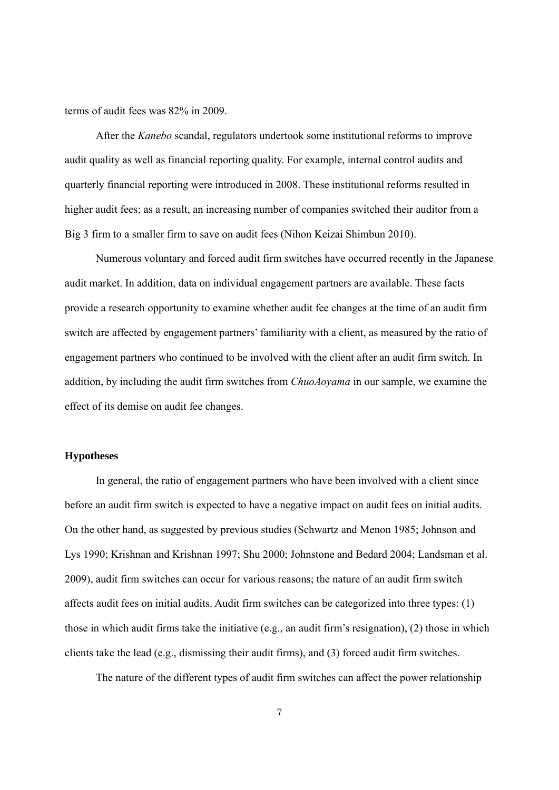terms of audit fees was 82% in 2009.

After the *Kanebo* scandal, regulators undertook some institutional reforms to improve audit quality as well as financial reporting quality. For example, internal control audits and quarterly financial reporting were introduced in 2008. These institutional reforms resulted in higher audit fees; as a result, an increasing number of companies switched their auditor from a Big 3 firm to a smaller firm to save on audit fees (Nihon Keizai Shimbun 2010).

Numerous voluntary and forced audit firm switches have occurred recently in the Japanese audit market. In addition, data on individual engagement partners are available. These facts provide a research opportunity to examine whether audit fee changes at the time of an audit firm switch are affected by engagement partners' familiarity with a client, as measured by the ratio of engagement partners who continued to be involved with the client after an audit firm switch. In addition, by including the audit firm switches from *ChuoAoyama* in our sample, we examine the effect of its demise on audit fee changes.

## **Hypotheses**

In general, the ratio of engagement partners who have been involved with a client since before an audit firm switch is expected to have a negative impact on audit fees on initial audits. On the other hand, as suggested by previous studies (Schwartz and Menon 1985; Johnson and Lys 1990; Krishnan and Krishnan 1997; Shu 2000; Johnstone and Bedard 2004; Landsman et al. 2009), audit firm switches can occur for various reasons; the nature of an audit firm switch affects audit fees on initial audits. Audit firm switches can be categorized into three types: (1) those in which audit firms take the initiative (e.g., an audit firm's resignation), (2) those in which clients take the lead (e.g., dismissing their audit firms), and  $(3)$  forced audit firm switches.

The nature of the different types of audit firm switches can affect the power relationship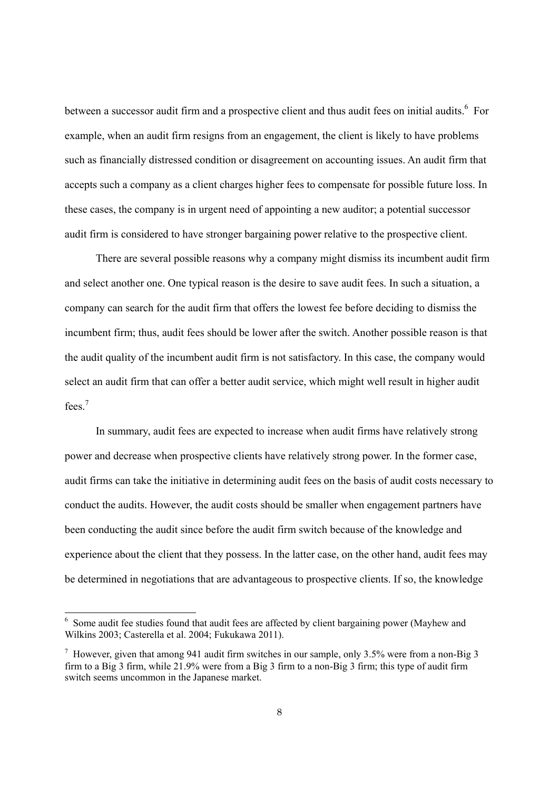between a successor audit firm and a prospective client and thus audit fees on initial audits.<sup>6</sup> For example, when an audit firm resigns from an engagement, the client is likely to have problems such as financially distressed condition or disagreement on accounting issues. An audit firm that accepts such a company as a client charges higher fees to compensate for possible future loss. In these cases, the company is in urgent need of appointing a new auditor; a potential successor audit firm is considered to have stronger bargaining power relative to the prospective client.

There are several possible reasons why a company might dismiss its incumbent audit firm and select another one. One typical reason is the desire to save audit fees. In such a situation, a company can search for the audit firm that offers the lowest fee before deciding to dismiss the incumbent firm; thus, audit fees should be lower after the switch. Another possible reason is that the audit quality of the incumbent audit firm is not satisfactory. In this case, the company would select an audit firm that can offer a better audit service, which might well result in higher audit fees.7

In summary, audit fees are expected to increase when audit firms have relatively strong power and decrease when prospective clients have relatively strong power. In the former case, audit firms can take the initiative in determining audit fees on the basis of audit costs necessary to conduct the audits. However, the audit costs should be smaller when engagement partners have been conducting the audit since before the audit firm switch because of the knowledge and experience about the client that they possess. In the latter case, on the other hand, audit fees may be determined in negotiations that are advantageous to prospective clients. If so, the knowledge

-

<sup>&</sup>lt;sup>6</sup> Some audit fee studies found that audit fees are affected by client bargaining power (Mayhew and Wilkins 2003; Casterella et al. 2004; Fukukawa 2011).

<sup>&</sup>lt;sup>7</sup> However, given that among 941 audit firm switches in our sample, only 3.5% were from a non-Big 3 firm to a Big 3 firm, while 21.9% were from a Big 3 firm to a non-Big 3 firm; this type of audit firm switch seems uncommon in the Japanese market.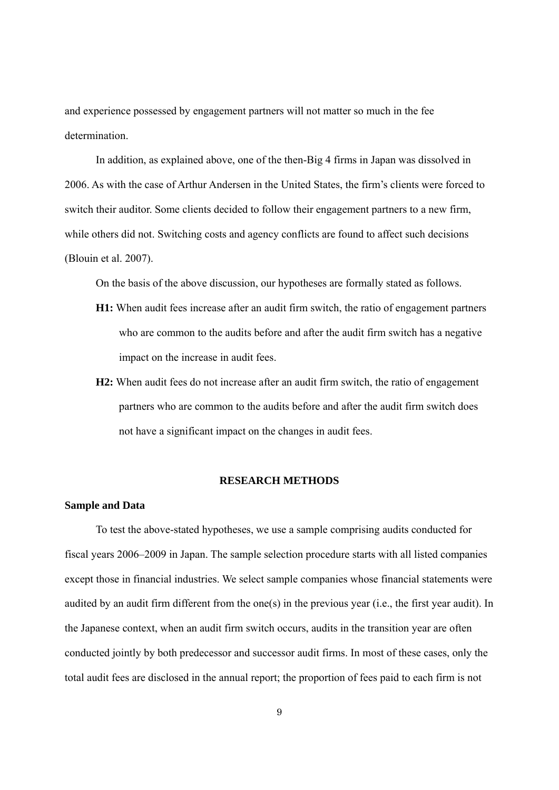and experience possessed by engagement partners will not matter so much in the fee determination.

In addition, as explained above, one of the then-Big 4 firms in Japan was dissolved in 2006. As with the case of Arthur Andersen in the United States, the firm's clients were forced to switch their auditor. Some clients decided to follow their engagement partners to a new firm, while others did not. Switching costs and agency conflicts are found to affect such decisions (Blouin et al. 2007).

On the basis of the above discussion, our hypotheses are formally stated as follows.

- **H1:** When audit fees increase after an audit firm switch, the ratio of engagement partners who are common to the audits before and after the audit firm switch has a negative impact on the increase in audit fees.
- **H2:** When audit fees do not increase after an audit firm switch, the ratio of engagement partners who are common to the audits before and after the audit firm switch does not have a significant impact on the changes in audit fees.

## **RESEARCH METHODS**

#### **Sample and Data**

To test the above-stated hypotheses, we use a sample comprising audits conducted for fiscal years 2006–2009 in Japan. The sample selection procedure starts with all listed companies except those in financial industries. We select sample companies whose financial statements were audited by an audit firm different from the one(s) in the previous year (i.e., the first year audit). In the Japanese context, when an audit firm switch occurs, audits in the transition year are often conducted jointly by both predecessor and successor audit firms. In most of these cases, only the total audit fees are disclosed in the annual report; the proportion of fees paid to each firm is not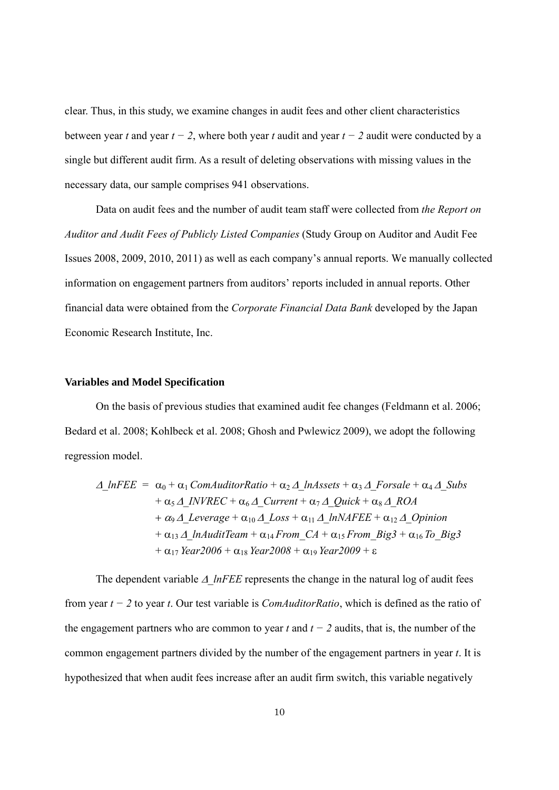clear. Thus, in this study, we examine changes in audit fees and other client characteristics between year *t* and year *t − 2*, where both year *t* audit and year *t − 2* audit were conducted by a single but different audit firm. As a result of deleting observations with missing values in the necessary data, our sample comprises 941 observations.

Data on audit fees and the number of audit team staff were collected from *the Report on Auditor and Audit Fees of Publicly Listed Companies* (Study Group on Auditor and Audit Fee Issues 2008, 2009, 2010, 2011) as well as each company's annual reports. We manually collected information on engagement partners from auditors' reports included in annual reports. Other financial data were obtained from the *Corporate Financial Data Bank* developed by the Japan Economic Research Institute, Inc.

#### **Variables and Model Specification**

On the basis of previous studies that examined audit fee changes (Feldmann et al. 2006; Bedard et al. 2008; Kohlbeck et al. 2008; Ghosh and Pwlewicz 2009), we adopt the following regression model.

$$
\Delta_{\perp}InFEE = \alpha_0 + \alpha_1 ComAuditorRatio + \alpha_2 \Delta_{\perp}InAssets + \alpha_3 \Delta_{\perp} For sale + \alpha_4 \Delta_{\perp} Subs \n+ \alpha_5 \Delta_{\perp} INVREC + \alpha_6 \Delta_{\perp} Current + \alpha_7 \Delta_{\perp} Quick + \alpha_8 \Delta_{\perp} ROA \n+ \alpha_9 \Delta_{\perp} Leverage + \alpha_{10} \Delta_{\perp} Loss + \alpha_{11} \Delta_{\perp} InNAFEE + \alpha_{12} \Delta_{\perp} Opinion \n+ \alpha_{13} \Delta_{\perp} InAuditTeam + \alpha_{14} From\_CA + \alpha_{15} From\_Big3 + \alpha_{16} To\_Big3 \n+ \alpha_{17} Year2006 + \alpha_{18} Year2008 + \alpha_{19} Year2009 + \epsilon
$$

The dependent variable  $\Delta$  lnFEE represents the change in the natural log of audit fees from year *t − 2* to year *t*. Our test variable is *ComAuditorRatio*, which is defined as the ratio of the engagement partners who are common to year *t* and  $t - 2$  audits, that is, the number of the common engagement partners divided by the number of the engagement partners in year *t*. It is hypothesized that when audit fees increase after an audit firm switch, this variable negatively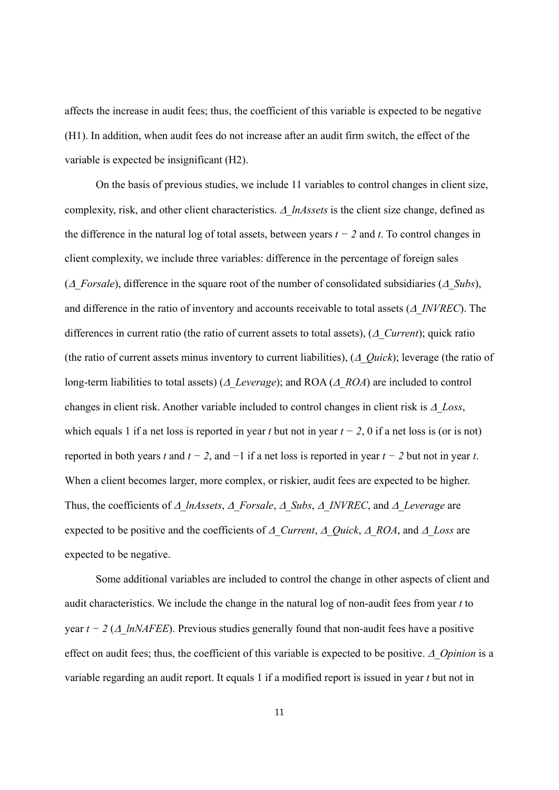affects the increase in audit fees; thus, the coefficient of this variable is expected to be negative (H1). In addition, when audit fees do not increase after an audit firm switch, the effect of the variable is expected be insignificant (H2).

On the basis of previous studies, we include 11 variables to control changes in client size, complexity, risk, and other client characteristics.  $\Delta$  lnAssets is the client size change, defined as the difference in the natural log of total assets, between years *t − 2* and *t*. To control changes in client complexity, we include three variables: difference in the percentage of foreign sales ( $\Delta$  *Forsale*), difference in the square root of the number of consolidated subsidiaries ( $\Delta$  *Subs*), and difference in the ratio of inventory and accounts receivable to total assets  $(A \text{ INVREC})$ . The differences in current ratio (the ratio of current assets to total assets),  $(A \; Current)$ ; quick ratio (the ratio of current assets minus inventory to current liabilities),  $(\triangle Quick)$ ; leverage (the ratio of long-term liabilities to total assets) ( $\Delta$  Leverage); and ROA ( $\Delta$  ROA) are included to control changes in client risk. Another variable included to control changes in client risk is  $\Delta$  Loss, which equals 1 if a net loss is reported in year *t* but not in year  $t - 2$ , 0 if a net loss is (or is not) reported in both years *t* and  $t - 2$ , and  $-1$  if a net loss is reported in year  $t - 2$  but not in year *t*. When a client becomes larger, more complex, or riskier, audit fees are expected to be higher. Thus, the coefficients of  $\Delta$  lnAssets,  $\Delta$  Forsale,  $\Delta$  Subs,  $\Delta$  INVREC, and  $\Delta$  Leverage are expected to be positive and the coefficients of  $\Delta$  Current,  $\Delta$  Quick,  $\Delta$  ROA, and  $\Delta$  Loss are expected to be negative.

Some additional variables are included to control the change in other aspects of client and audit characteristics. We include the change in the natural log of non-audit fees from year *t* to year  $t - 2$  ( $\Delta$  lnNAFEE). Previous studies generally found that non-audit fees have a positive effect on audit fees; thus, the coefficient of this variable is expected to be positive.  $\Delta$  Opinion is a variable regarding an audit report. It equals 1 if a modified report is issued in year *t* but not in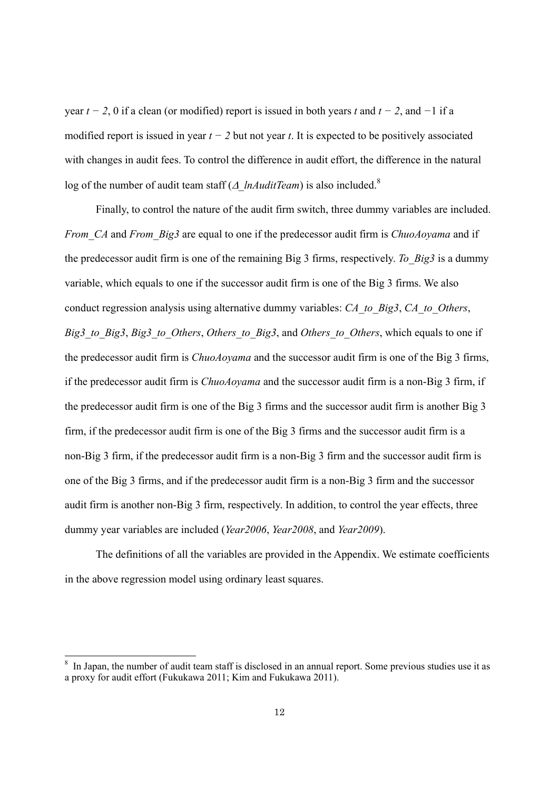year *t − 2*, 0 if a clean (or modified) report is issued in both years *t* and *t − 2*, and *−*1 if a modified report is issued in year *t − 2* but not year *t*. It is expected to be positively associated with changes in audit fees. To control the difference in audit effort, the difference in the natural log of the number of audit team staff ( $\triangle$  lnAuditTeam) is also included.<sup>8</sup>

Finally, to control the nature of the audit firm switch, three dummy variables are included. *From\_CA* and *From\_Big3* are equal to one if the predecessor audit firm is *ChuoAoyama* and if the predecessor audit firm is one of the remaining Big 3 firms, respectively. *To\_Big3* is a dummy variable, which equals to one if the successor audit firm is one of the Big 3 firms. We also conduct regression analysis using alternative dummy variables: *CA\_to\_Big3*, *CA\_to\_Others*, *Big3\_to\_Big3*, *Big3\_to\_Others*, *Others\_to\_Big3*, and *Others\_to\_Others*, which equals to one if the predecessor audit firm is *ChuoAoyama* and the successor audit firm is one of the Big 3 firms, if the predecessor audit firm is *ChuoAoyama* and the successor audit firm is a non-Big 3 firm, if the predecessor audit firm is one of the Big 3 firms and the successor audit firm is another Big 3 firm, if the predecessor audit firm is one of the Big 3 firms and the successor audit firm is a non-Big 3 firm, if the predecessor audit firm is a non-Big 3 firm and the successor audit firm is one of the Big 3 firms, and if the predecessor audit firm is a non-Big 3 firm and the successor audit firm is another non-Big 3 firm, respectively. In addition, to control the year effects, three dummy year variables are included (*Year2006*, *Year2008*, and *Year2009*).

The definitions of all the variables are provided in the Appendix. We estimate coefficients in the above regression model using ordinary least squares.

 $\overline{a}$ 

<sup>8</sup> In Japan, the number of audit team staff is disclosed in an annual report. Some previous studies use it as a proxy for audit effort (Fukukawa 2011; Kim and Fukukawa 2011).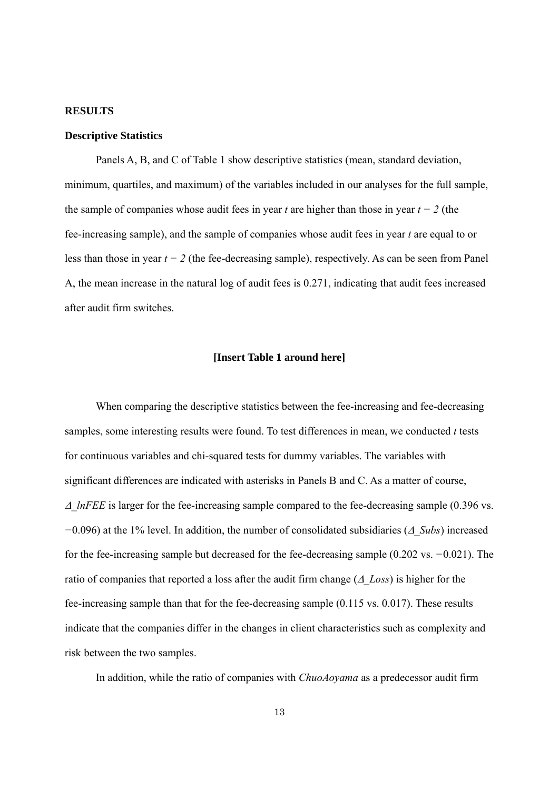#### **RESULTS**

#### **Descriptive Statistics**

Panels A, B, and C of Table 1 show descriptive statistics (mean, standard deviation, minimum, quartiles, and maximum) of the variables included in our analyses for the full sample, the sample of companies whose audit fees in year *t* are higher than those in year *t − 2* (the fee-increasing sample), and the sample of companies whose audit fees in year *t* are equal to or less than those in year *t − 2* (the fee-decreasing sample), respectively. As can be seen from Panel A, the mean increase in the natural log of audit fees is 0.271, indicating that audit fees increased after audit firm switches.

#### **[Insert Table 1 around here]**

When comparing the descriptive statistics between the fee-increasing and fee-decreasing samples, some interesting results were found. To test differences in mean, we conducted *t* tests for continuous variables and chi-squared tests for dummy variables. The variables with significant differences are indicated with asterisks in Panels B and C. As a matter of course,  $\Delta$  *lnFEE* is larger for the fee-increasing sample compared to the fee-decreasing sample (0.396 vs. *−*0.096) at the 1% level. In addition, the number of consolidated subsidiaries ( $\triangle$  *Subs*) increased for the fee-increasing sample but decreased for the fee-decreasing sample (0.202 vs. *−*0.021). The ratio of companies that reported a loss after the audit firm change  $(A \text{ Loss})$  is higher for the fee-increasing sample than that for the fee-decreasing sample (0.115 vs. 0.017). These results indicate that the companies differ in the changes in client characteristics such as complexity and risk between the two samples.

In addition, while the ratio of companies with *ChuoAoyama* as a predecessor audit firm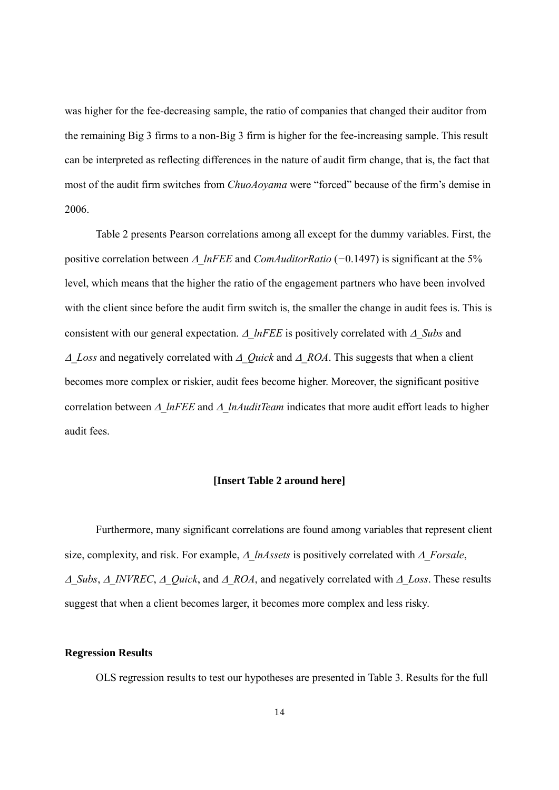was higher for the fee-decreasing sample, the ratio of companies that changed their auditor from the remaining Big 3 firms to a non-Big 3 firm is higher for the fee-increasing sample. This result can be interpreted as reflecting differences in the nature of audit firm change, that is, the fact that most of the audit firm switches from *ChuoAoyama* were "forced" because of the firm's demise in 2006.

Table 2 presents Pearson correlations among all except for the dummy variables. First, the positive correlation between *∆ lnFEE* and *ComAuditorRatio* (−0.1497) is significant at the 5% level, which means that the higher the ratio of the engagement partners who have been involved with the client since before the audit firm switch is, the smaller the change in audit fees is. This is consistent with our general expectation.  $\Delta$  lnFEE is positively correlated with  $\Delta$  Subs and  $\triangle$  *Loss* and negatively correlated with  $\triangle$  *Quick* and  $\triangle$  *ROA*. This suggests that when a client becomes more complex or riskier, audit fees become higher. Moreover, the significant positive correlation between  $\Delta$  lnFEE and  $\Delta$  lnAuditTeam indicates that more audit effort leads to higher audit fees.

## **[Insert Table 2 around here]**

Furthermore, many significant correlations are found among variables that represent client size, complexity, and risk. For example,  $\Delta$  lnAssets is positively correlated with  $\Delta$  Forsale,  $\Delta$  Subs,  $\Delta$  INVREC,  $\Delta$  Quick, and  $\Delta$  ROA, and negatively correlated with  $\Delta$  Loss. These results suggest that when a client becomes larger, it becomes more complex and less risky.

#### **Regression Results**

OLS regression results to test our hypotheses are presented in Table 3. Results for the full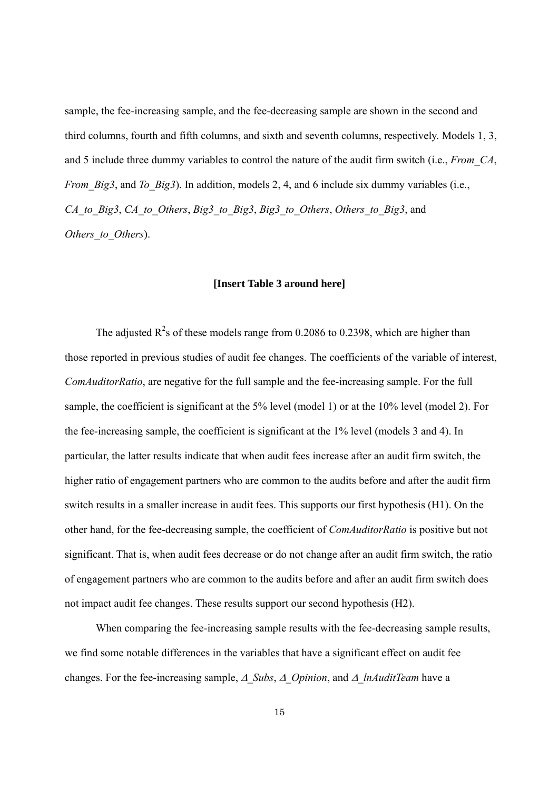sample, the fee-increasing sample, and the fee-decreasing sample are shown in the second and third columns, fourth and fifth columns, and sixth and seventh columns, respectively. Models 1, 3, and 5 include three dummy variables to control the nature of the audit firm switch (i.e., *From\_CA*, *From\_Big3*, and *To\_Big3*). In addition, models 2, 4, and 6 include six dummy variables (i.e., *CA\_to\_Big3*, *CA\_to\_Others*, *Big3\_to\_Big3*, *Big3\_to\_Others*, *Others\_to\_Big3*, and *Others\_to\_Others*).

#### **[Insert Table 3 around here]**

The adjusted  $R^2$ s of these models range from 0.2086 to 0.2398, which are higher than those reported in previous studies of audit fee changes. The coefficients of the variable of interest, *ComAuditorRatio*, are negative for the full sample and the fee-increasing sample. For the full sample, the coefficient is significant at the 5% level (model 1) or at the 10% level (model 2). For the fee-increasing sample, the coefficient is significant at the 1% level (models 3 and 4). In particular, the latter results indicate that when audit fees increase after an audit firm switch, the higher ratio of engagement partners who are common to the audits before and after the audit firm switch results in a smaller increase in audit fees. This supports our first hypothesis (H1). On the other hand, for the fee-decreasing sample, the coefficient of *ComAuditorRatio* is positive but not significant. That is, when audit fees decrease or do not change after an audit firm switch, the ratio of engagement partners who are common to the audits before and after an audit firm switch does not impact audit fee changes. These results support our second hypothesis (H2).

When comparing the fee-increasing sample results with the fee-decreasing sample results, we find some notable differences in the variables that have a significant effect on audit fee changes. For the fee-increasing sample,  $\Delta$  Subs,  $\Delta$  Opinion, and  $\Delta$  lnAuditTeam have a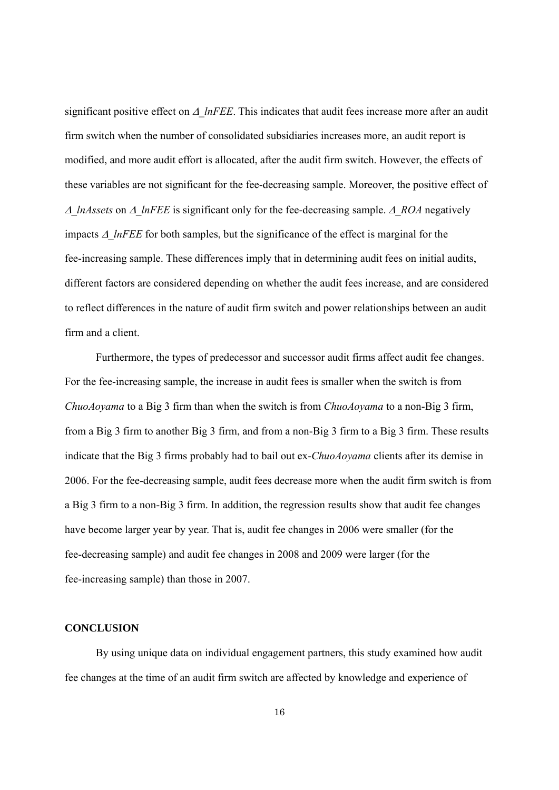significant positive effect on  $\Delta$  lnFEE. This indicates that audit fees increase more after an audit firm switch when the number of consolidated subsidiaries increases more, an audit report is modified, and more audit effort is allocated, after the audit firm switch. However, the effects of these variables are not significant for the fee-decreasing sample. Moreover, the positive effect of  $\triangle$  *lnAssets* on  $\triangle$  *lnFEE* is significant only for the fee-decreasing sample.  $\triangle$  *ROA* negatively impacts  $\Delta$  *lnFEE* for both samples, but the significance of the effect is marginal for the fee-increasing sample. These differences imply that in determining audit fees on initial audits, different factors are considered depending on whether the audit fees increase, and are considered to reflect differences in the nature of audit firm switch and power relationships between an audit firm and a client.

Furthermore, the types of predecessor and successor audit firms affect audit fee changes. For the fee-increasing sample, the increase in audit fees is smaller when the switch is from *ChuoAoyama* to a Big 3 firm than when the switch is from *ChuoAoyama* to a non-Big 3 firm, from a Big 3 firm to another Big 3 firm, and from a non-Big 3 firm to a Big 3 firm. These results indicate that the Big 3 firms probably had to bail out ex-*ChuoAoyama* clients after its demise in 2006. For the fee-decreasing sample, audit fees decrease more when the audit firm switch is from a Big 3 firm to a non-Big 3 firm. In addition, the regression results show that audit fee changes have become larger year by year. That is, audit fee changes in 2006 were smaller (for the fee-decreasing sample) and audit fee changes in 2008 and 2009 were larger (for the fee-increasing sample) than those in 2007.

#### **CONCLUSION**

By using unique data on individual engagement partners, this study examined how audit fee changes at the time of an audit firm switch are affected by knowledge and experience of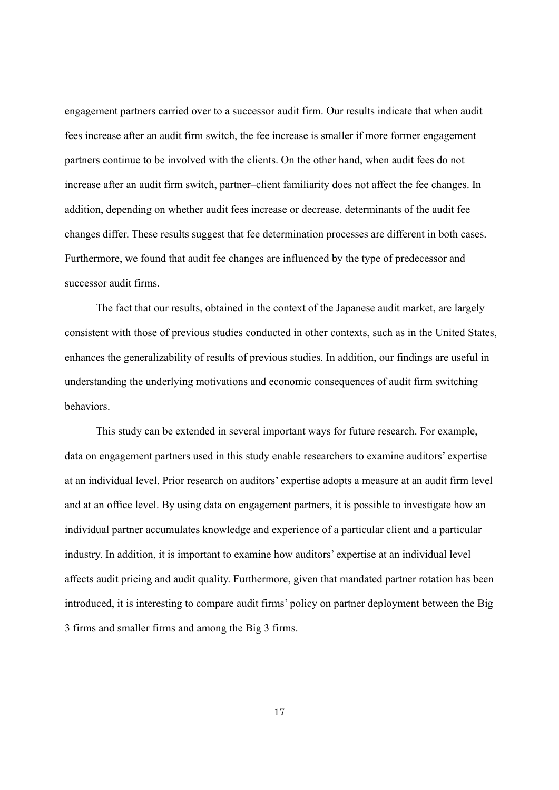engagement partners carried over to a successor audit firm. Our results indicate that when audit fees increase after an audit firm switch, the fee increase is smaller if more former engagement partners continue to be involved with the clients. On the other hand, when audit fees do not increase after an audit firm switch, partner–client familiarity does not affect the fee changes. In addition, depending on whether audit fees increase or decrease, determinants of the audit fee changes differ. These results suggest that fee determination processes are different in both cases. Furthermore, we found that audit fee changes are influenced by the type of predecessor and successor audit firms.

The fact that our results, obtained in the context of the Japanese audit market, are largely consistent with those of previous studies conducted in other contexts, such as in the United States, enhances the generalizability of results of previous studies. In addition, our findings are useful in understanding the underlying motivations and economic consequences of audit firm switching behaviors.

This study can be extended in several important ways for future research. For example, data on engagement partners used in this study enable researchers to examine auditors' expertise at an individual level. Prior research on auditors' expertise adopts a measure at an audit firm level and at an office level. By using data on engagement partners, it is possible to investigate how an individual partner accumulates knowledge and experience of a particular client and a particular industry. In addition, it is important to examine how auditors' expertise at an individual level affects audit pricing and audit quality. Furthermore, given that mandated partner rotation has been introduced, it is interesting to compare audit firms' policy on partner deployment between the Big 3 firms and smaller firms and among the Big 3 firms.

17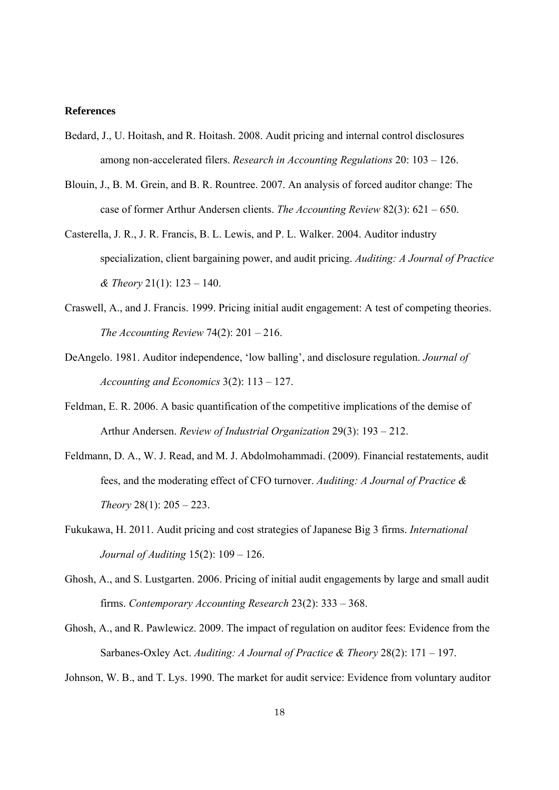#### **References**

- Bedard, J., U. Hoitash, and R. Hoitash. 2008. Audit pricing and internal control disclosures among non-accelerated filers. *Research in Accounting Regulations* 20: 103 – 126.
- Blouin, J., B. M. Grein, and B. R. Rountree. 2007. An analysis of forced auditor change: The case of former Arthur Andersen clients. *The Accounting Review* 82(3): 621 – 650.
- Casterella, J. R., J. R. Francis, B. L. Lewis, and P. L. Walker. 2004. Auditor industry specialization, client bargaining power, and audit pricing. *Auditing: A Journal of Practice & Theory* 21(1): 123 – 140.
- Craswell, A., and J. Francis. 1999. Pricing initial audit engagement: A test of competing theories. *The Accounting Review* 74(2): 201 – 216.
- DeAngelo. 1981. Auditor independence, 'low balling', and disclosure regulation. *Journal of Accounting and Economics* 3(2): 113 – 127.
- Feldman, E. R. 2006. A basic quantification of the competitive implications of the demise of Arthur Andersen. *Review of Industrial Organization* 29(3): 193 – 212.
- Feldmann, D. A., W. J. Read, and M. J. Abdolmohammadi. (2009). Financial restatements, audit fees, and the moderating effect of CFO turnover. *Auditing: A Journal of Practice & Theory* 28(1): 205 – 223.
- Fukukawa, H. 2011. Audit pricing and cost strategies of Japanese Big 3 firms. *International Journal of Auditing* 15(2): 109 – 126.
- Ghosh, A., and S. Lustgarten. 2006. Pricing of initial audit engagements by large and small audit firms. *Contemporary Accounting Research* 23(2): 333 – 368.
- Ghosh, A., and R. Pawlewicz. 2009. The impact of regulation on auditor fees: Evidence from the Sarbanes-Oxley Act. *Auditing: A Journal of Practice & Theory* 28(2): 171 – 197.

Johnson, W. B., and T. Lys. 1990. The market for audit service: Evidence from voluntary auditor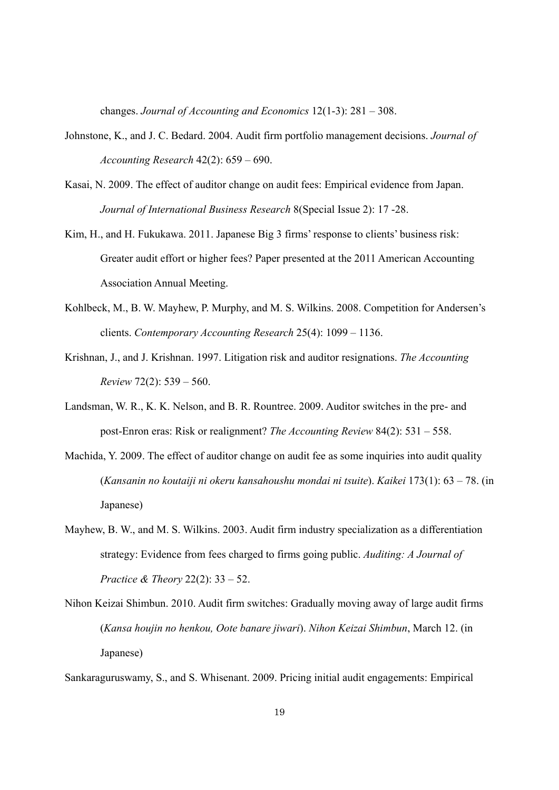changes. *Journal of Accounting and Economics* 12(1-3): 281 – 308.

- Johnstone, K., and J. C. Bedard. 2004. Audit firm portfolio management decisions. *Journal of Accounting Research* 42(2): 659 – 690.
- Kasai, N. 2009. The effect of auditor change on audit fees: Empirical evidence from Japan. *Journal of International Business Research* 8(Special Issue 2): 17 -28.
- Kim, H., and H. Fukukawa. 2011. Japanese Big 3 firms' response to clients' business risk: Greater audit effort or higher fees? Paper presented at the 2011 American Accounting Association Annual Meeting.
- Kohlbeck, M., B. W. Mayhew, P. Murphy, and M. S. Wilkins. 2008. Competition for Andersen's clients. *Contemporary Accounting Research* 25(4): 1099 – 1136.
- Krishnan, J., and J. Krishnan. 1997. Litigation risk and auditor resignations. *The Accounting Review* 72(2): 539 – 560.
- Landsman, W. R., K. K. Nelson, and B. R. Rountree. 2009. Auditor switches in the pre- and post-Enron eras: Risk or realignment? *The Accounting Review* 84(2): 531 – 558.
- Machida, Y. 2009. The effect of auditor change on audit fee as some inquiries into audit quality (*Kansanin no koutaiji ni okeru kansahoushu mondai ni tsuite*). *Kaikei* 173(1): 63 – 78. (in Japanese)
- Mayhew, B. W., and M. S. Wilkins. 2003. Audit firm industry specialization as a differentiation strategy: Evidence from fees charged to firms going public. *Auditing: A Journal of Practice & Theory* 22(2): 33 – 52.
- Nihon Keizai Shimbun. 2010. Audit firm switches: Gradually moving away of large audit firms (*Kansa houjin no henkou, Oote banare jiwari*). *Nihon Keizai Shimbun*, March 12. (in Japanese)

Sankaraguruswamy, S., and S. Whisenant. 2009. Pricing initial audit engagements: Empirical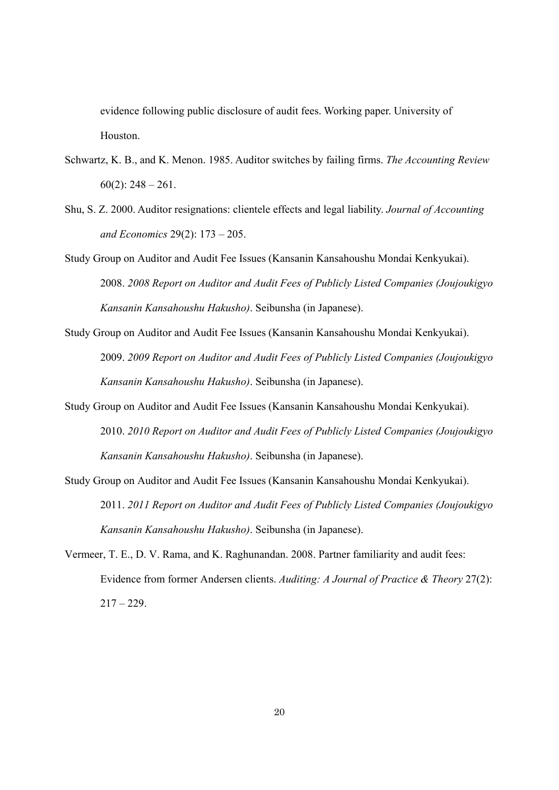evidence following public disclosure of audit fees. Working paper. University of Houston.

- Schwartz, K. B., and K. Menon. 1985. Auditor switches by failing firms. *The Accounting Review*  $60(2)$ : 248 – 261.
- Shu, S. Z. 2000. Auditor resignations: clientele effects and legal liability. *Journal of Accounting and Economics* 29(2): 173 – 205.
- Study Group on Auditor and Audit Fee Issues (Kansanin Kansahoushu Mondai Kenkyukai). 2008. *2008 Report on Auditor and Audit Fees of Publicly Listed Companies (Joujoukigyo Kansanin Kansahoushu Hakusho)*. Seibunsha (in Japanese).
- Study Group on Auditor and Audit Fee Issues (Kansanin Kansahoushu Mondai Kenkyukai). 2009. *2009 Report on Auditor and Audit Fees of Publicly Listed Companies (Joujoukigyo Kansanin Kansahoushu Hakusho)*. Seibunsha (in Japanese).
- Study Group on Auditor and Audit Fee Issues (Kansanin Kansahoushu Mondai Kenkyukai). 2010. *2010 Report on Auditor and Audit Fees of Publicly Listed Companies (Joujoukigyo Kansanin Kansahoushu Hakusho)*. Seibunsha (in Japanese).
- Study Group on Auditor and Audit Fee Issues (Kansanin Kansahoushu Mondai Kenkyukai). 2011. *2011 Report on Auditor and Audit Fees of Publicly Listed Companies (Joujoukigyo Kansanin Kansahoushu Hakusho)*. Seibunsha (in Japanese).
- Vermeer, T. E., D. V. Rama, and K. Raghunandan. 2008. Partner familiarity and audit fees: Evidence from former Andersen clients. *Auditing: A Journal of Practice & Theory* 27(2):  $217 - 229$ .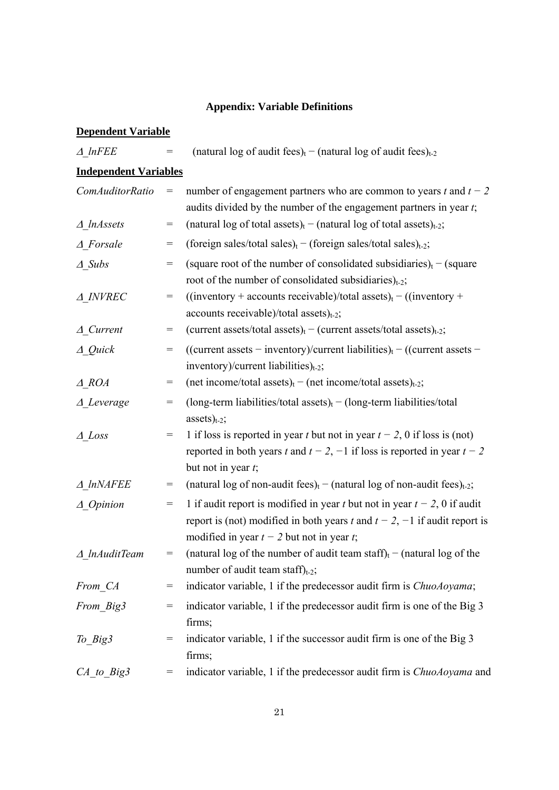## **Appendix: Variable Definitions**

# **Dependent Variable**

| $\triangle$ lnFEE            | =   | (natural log of audit fees) <sub>t</sub> – (natural log of audit fees) <sub>t-2</sub>                                                                                                                         |
|------------------------------|-----|---------------------------------------------------------------------------------------------------------------------------------------------------------------------------------------------------------------|
| <b>Independent Variables</b> |     |                                                                                                                                                                                                               |
| <b>ComAuditorRatio</b>       | =   | number of engagement partners who are common to years t and $t - 2$<br>audits divided by the number of the engagement partners in year t;                                                                     |
| $\triangle$ lnAssets         | $=$ | (natural log of total assets) <sub>t</sub> – (natural log of total assets) <sub>t-2</sub> ;                                                                                                                   |
| $\triangle$ Forsale          | $=$ | (foreign sales/total sales) <sub>t</sub> – (foreign sales/total sales) <sub>t-2</sub> ;                                                                                                                       |
| $\triangle$ Subs             | $=$ | (square root of the number of consolidated subsidiaries) <sub>t</sub> – (square<br>root of the number of consolidated subsidiaries) $_{t=2}$ ;                                                                |
| A INVREC                     | =   | $((inventory + accounts receiveable)/total assets)_t - ((inventory +$<br>accounts receivable)/total assets) $_{t=2}$ ;                                                                                        |
| $\triangle$ Current          | =   | (current assets/total assets) <sub>t</sub> – (current assets/total assets) <sub>t-2</sub> ;                                                                                                                   |
| $\triangle$ Quick            | $=$ | ((current assets – inventory)/current liabilities) <sub>t</sub> – ((current assets –<br>inventory)/current liabilities) $_{t=2}$ ;                                                                            |
| $A_ROA$                      | $=$ | (net income/total assets) <sub>t</sub> – (net income/total assets) <sub>t-2</sub> ;                                                                                                                           |
| $\triangle$ Leverage         | $=$ | (long-term liabilities/total assets) $_t - (long-term$ liabilities/total<br>$assets)_{t-2};$                                                                                                                  |
| $\triangle$ Loss             | $=$ | 1 if loss is reported in year t but not in year $t - 2$ , 0 if loss is (not)<br>reported in both years t and $t - 2$ , $-1$ if loss is reported in year $t - 2$<br>but not in year $t$ ;                      |
| $\triangle$ lnNAFEE          | $=$ | (natural log of non-audit fees) <sub>t</sub> – (natural log of non-audit fees) <sub>t-2</sub> ;                                                                                                               |
| $\triangle$ Opinion          | $=$ | 1 if audit report is modified in year t but not in year $t - 2$ , 0 if audit<br>report is (not) modified in both years t and $t - 2$ , $-1$ if audit report is<br>modified in year $t - 2$ but not in year t; |
| $\triangle$ lnAuditTeam      | $=$ | (natural log of the number of audit team staff) <sub>t</sub> – (natural log of the<br>number of audit team staff) $_{t-2}$ ;                                                                                  |
| From CA                      | =   | indicator variable, 1 if the predecessor audit firm is <i>ChuoAoyama</i> ;                                                                                                                                    |
| From Big3                    | $=$ | indicator variable, 1 if the predecessor audit firm is one of the Big 3<br>firms;                                                                                                                             |
| $To_Big3$                    | $=$ | indicator variable, 1 if the successor audit firm is one of the Big 3<br>firms;                                                                                                                               |
| $CA$ to Big3                 | $=$ | indicator variable, 1 if the predecessor audit firm is <i>ChuoAoyama</i> and                                                                                                                                  |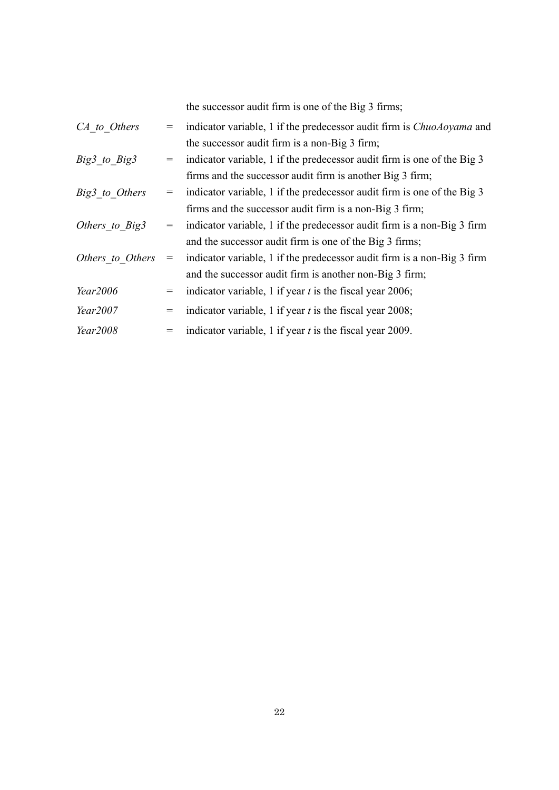the successor audit firm is one of the Big 3 firms;

| CA to Others     |     | indicator variable, 1 if the predecessor audit firm is <i>ChuoAoyama</i> and |
|------------------|-----|------------------------------------------------------------------------------|
|                  |     | the successor audit firm is a non-Big 3 firm;                                |
| Big3 to Big3     | $=$ | indicator variable, 1 if the predecessor audit firm is one of the Big 3      |
|                  |     | firms and the successor audit firm is another Big 3 firm;                    |
| Big3 to Others   | $=$ | indicator variable, 1 if the predecessor audit firm is one of the Big 3      |
|                  |     | firms and the successor audit firm is a non-Big 3 firm;                      |
| Others to Big3   | $=$ | indicator variable, 1 if the predecessor audit firm is a non-Big 3 firm      |
|                  |     | and the successor audit firm is one of the Big 3 firms;                      |
| Others to Others | $=$ | indicator variable, 1 if the predecessor audit firm is a non-Big 3 firm      |
|                  |     | and the successor audit firm is another non-Big 3 firm;                      |
| Year2006         | $=$ | indicator variable, 1 if year $t$ is the fiscal year 2006;                   |
| Year2007         | $=$ | indicator variable, 1 if year $t$ is the fiscal year 2008;                   |
| Year2008         |     | indicator variable, 1 if year $t$ is the fiscal year 2009.                   |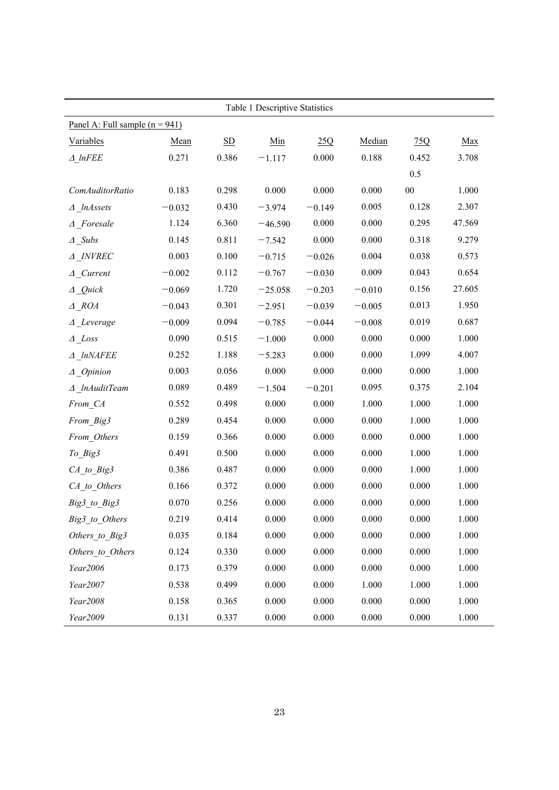|                                  | Table 1 Descriptive Statistics |                           |           |          |          |        |        |  |  |  |
|----------------------------------|--------------------------------|---------------------------|-----------|----------|----------|--------|--------|--|--|--|
| Panel A: Full sample $(n = 941)$ |                                |                           |           |          |          |        |        |  |  |  |
| Variables                        | Mean                           | $\underline{\mathrm{SD}}$ | Min       | 25Q      | Median   | 75Q    | Max    |  |  |  |
| $\triangle$ lnFEE                | 0.271                          | 0.386                     | $-1.117$  | 0.000    | 0.188    | 0.452  | 3.708  |  |  |  |
|                                  |                                |                           |           |          |          | 0.5    |        |  |  |  |
| ComAuditorRatio                  | 0.183                          | 0.298                     | 0.000     | 0.000    | 0.000    | $00\,$ | 1.000  |  |  |  |
| $\triangle$ lnAssets             | $-0.032$                       | 0.430                     | $-3.974$  | $-0.149$ | 0.005    | 0.128  | 2.307  |  |  |  |
| $\triangle$ Foresale             | 1.124                          | 6.360                     | $-46.590$ | 0.000    | 0.000    | 0.295  | 47.569 |  |  |  |
| $\triangle$ Subs                 | 0.145                          | 0.811                     | $-7.542$  | 0.000    | 0.000    | 0.318  | 9.279  |  |  |  |
| $\triangle$ INVREC               | 0.003                          | 0.100                     | $-0.715$  | $-0.026$ | 0.004    | 0.038  | 0.573  |  |  |  |
| $\triangle$ Current              | $-0.002$                       | 0.112                     | $-0.767$  | $-0.030$ | 0.009    | 0.043  | 0.654  |  |  |  |
| $\triangle$ Quick                | $-0.069$                       | 1.720                     | $-25.058$ | $-0.203$ | $-0.010$ | 0.156  | 27.605 |  |  |  |
| $\triangle$ ROA                  | $-0.043$                       | 0.301                     | $-2.951$  | $-0.039$ | $-0.005$ | 0.013  | 1.950  |  |  |  |
| $\triangle$ Leverage             | $-0.009$                       | 0.094                     | $-0.785$  | $-0.044$ | $-0.008$ | 0.019  | 0.687  |  |  |  |
| $\triangle$ Loss                 | 0.090                          | 0.515                     | $-1.000$  | 0.000    | 0.000    | 0.000  | 1.000  |  |  |  |
| $\triangle$ lnNAFEE              | 0.252                          | 1.188                     | $-5.283$  | 0.000    | 0.000    | 1.099  | 4.007  |  |  |  |
| $\triangle$ Opinion              | 0.003                          | 0.056                     | 0.000     | 0.000    | 0.000    | 0.000  | 1.000  |  |  |  |
| $\triangle$ lnAuditTeam          | 0.089                          | 0.489                     | $-1.504$  | $-0.201$ | 0.095    | 0.375  | 2.104  |  |  |  |
| From CA                          | 0.552                          | 0.498                     | 0.000     | 0.000    | 1.000    | 1.000  | 1.000  |  |  |  |
| From_Big3                        | 0.289                          | 0.454                     | 0.000     | 0.000    | 0.000    | 1.000  | 1.000  |  |  |  |
| From_Others                      | 0.159                          | 0.366                     | 0.000     | 0.000    | 0.000    | 0.000  | 1.000  |  |  |  |
| To Big3                          | 0.491                          | 0.500                     | 0.000     | 0.000    | 0.000    | 1.000  | 1.000  |  |  |  |
| $CA_to_Big3$                     | 0.386                          | 0.487                     | 0.000     | 0.000    | 0.000    | 1.000  | 1.000  |  |  |  |
| CA_to_Others                     | 0.166                          | 0.372                     | 0.000     | 0.000    | 0.000    | 0.000  | 1.000  |  |  |  |
| Big3 to Big3                     | 0.070                          | 0.256                     | 0.000     | 0.000    | 0.000    | 0.000  | 1.000  |  |  |  |
| Big3_to_Others                   | 0.219                          | 0.414                     | 0.000     | 0.000    | 0.000    | 0.000  | 1.000  |  |  |  |
| Others to Big3                   | 0.035                          | 0.184                     | 0.000     | 0.000    | 0.000    | 0.000  | 1.000  |  |  |  |
| Others to Others                 | 0.124                          | 0.330                     | 0.000     | 0.000    | 0.000    | 0.000  | 1.000  |  |  |  |
| Year2006                         | 0.173                          | 0.379                     | 0.000     | 0.000    | 0.000    | 0.000  | 1.000  |  |  |  |
| Year2007                         | 0.538                          | 0.499                     | 0.000     | 0.000    | 1.000    | 1.000  | 1.000  |  |  |  |
| Year2008                         | 0.158                          | 0.365                     | 0.000     | 0.000    | 0.000    | 0.000  | 1.000  |  |  |  |
| Year2009                         | 0.131                          | 0.337                     | 0.000     | 0.000    | 0.000    | 0.000  | 1.000  |  |  |  |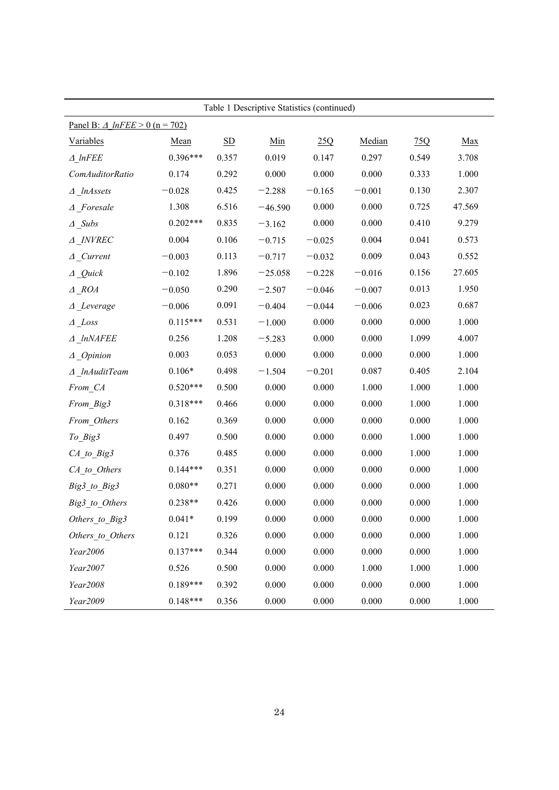|                                          |            |                           | Table 1 Descriptive Statistics (continued) |          |          |       |        |
|------------------------------------------|------------|---------------------------|--------------------------------------------|----------|----------|-------|--------|
| Panel B: $\triangle$ lnFEE > 0 (n = 702) |            |                           |                                            |          |          |       |        |
| Variables                                | Mean       | $\underline{\mathrm{SD}}$ | Min                                        | 25Q      | Median   | 75Q   | Max    |
| $\triangle$ lnFEE                        | $0.396***$ | 0.357                     | 0.019                                      | 0.147    | 0.297    | 0.549 | 3.708  |
| ComAuditorRatio                          | 0.174      | 0.292                     | 0.000                                      | 0.000    | 0.000    | 0.333 | 1.000  |
| $\triangle$ InAssets                     | $-0.028$   | 0.425                     | $-2.288$                                   | $-0.165$ | $-0.001$ | 0.130 | 2.307  |
| $\triangle$ Foresale                     | 1.308      | 6.516                     | $-46.590$                                  | 0.000    | 0.000    | 0.725 | 47.569 |
| $\triangle$ _Subs                        | $0.202***$ | 0.835                     | $-3.162$                                   | 0.000    | 0.000    | 0.410 | 9.279  |
| $\triangle$ INVREC                       | 0.004      | 0.106                     | $-0.715$                                   | $-0.025$ | 0.004    | 0.041 | 0.573  |
| $\triangle$ Current                      | $-0.003$   | 0.113                     | $-0.717$                                   | $-0.032$ | 0.009    | 0.043 | 0.552  |
| $\Delta$ Quick                           | $-0.102$   | 1.896                     | $-25.058$                                  | $-0.228$ | $-0.016$ | 0.156 | 27.605 |
| $\triangle$ ROA                          | $-0.050$   | 0.290                     | $-2.507$                                   | $-0.046$ | $-0.007$ | 0.013 | 1.950  |
| $\triangle$ Leverage                     | $-0.006$   | 0.091                     | $-0.404$                                   | $-0.044$ | $-0.006$ | 0.023 | 0.687  |
| $\triangle$ Loss                         | $0.115***$ | 0.531                     | $-1.000$                                   | 0.000    | 0.000    | 0.000 | 1.000  |
| $\triangle$ InNAFEE                      | 0.256      | 1.208                     | $-5.283$                                   | 0.000    | 0.000    | 1.099 | 4.007  |
| $\triangle$ Opinion                      | 0.003      | 0.053                     | 0.000                                      | 0.000    | 0.000    | 0.000 | 1.000  |
| $\triangle$ lnAuditTeam                  | $0.106*$   | 0.498                     | $-1.504$                                   | $-0.201$ | 0.087    | 0.405 | 2.104  |
| From CA                                  | $0.520***$ | 0.500                     | 0.000                                      | 0.000    | 1.000    | 1.000 | 1.000  |
| From Big3                                | $0.318***$ | 0.466                     | 0.000                                      | 0.000    | 0.000    | 1.000 | 1.000  |
| From Others                              | 0.162      | 0.369                     | 0.000                                      | 0.000    | 0.000    | 0.000 | 1.000  |
| To Big3                                  | 0.497      | 0.500                     | 0.000                                      | 0.000    | 0.000    | 1.000 | 1.000  |
| $CA_to_Big3$                             | 0.376      | 0.485                     | 0.000                                      | 0.000    | 0.000    | 1.000 | 1.000  |
| $CA_to_O$                                | $0.144***$ | 0.351                     | 0.000                                      | 0.000    | 0.000    | 0.000 | 1.000  |
| Big3_to_Big3                             | $0.080**$  | 0.271                     | 0.000                                      | 0.000    | 0.000    | 0.000 | 1.000  |
| Big3_to_Others                           | $0.238**$  | 0.426                     | 0.000                                      | 0.000    | 0.000    | 0.000 | 1.000  |
| Others to Big3                           | $0.041*$   | 0.199                     | 0.000                                      | 0.000    | 0.000    | 0.000 | 1.000  |
| Others to Others                         | 0.121      | 0.326                     | 0.000                                      | 0.000    | 0.000    | 0.000 | 1.000  |
| Year2006                                 | $0.137***$ | 0.344                     | 0.000                                      | 0.000    | 0.000    | 0.000 | 1.000  |
| Year2007                                 | 0.526      | 0.500                     | 0.000                                      | 0.000    | 1.000    | 1.000 | 1.000  |
| Year2008                                 | $0.189***$ | 0.392                     | 0.000                                      | 0.000    | 0.000    | 0.000 | 1.000  |
| Year2009                                 | $0.148***$ | 0.356                     | 0.000                                      | 0.000    | 0.000    | 0.000 | 1.000  |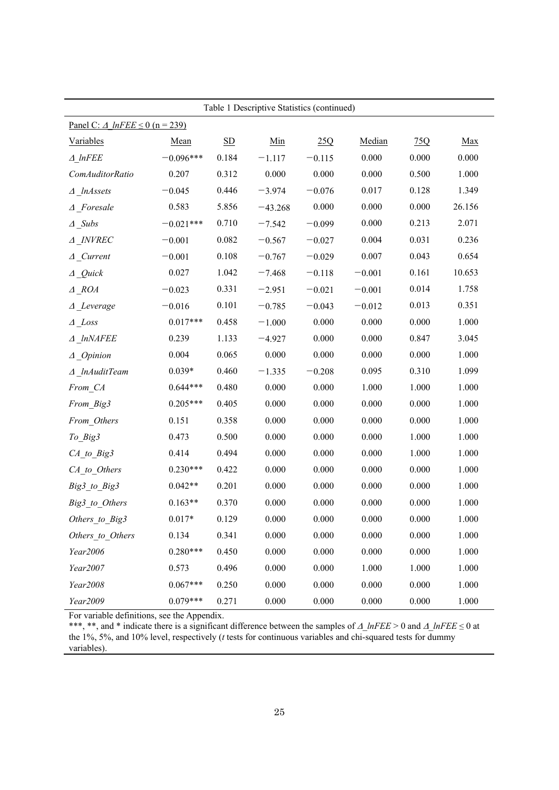| Table 1 Descriptive Statistics (continued)    |             |                           |           |          |          |       |        |  |  |
|-----------------------------------------------|-------------|---------------------------|-----------|----------|----------|-------|--------|--|--|
| Panel C: $\triangle$ InFEE $\leq$ 0 (n = 239) |             |                           |           |          |          |       |        |  |  |
| Variables                                     | Mean        | $\underline{\mathrm{SD}}$ | Min       | 25Q      | Median   | 75Q   | Max    |  |  |
| $\triangle$ lnFEE                             | $-0.096***$ | 0.184                     | $-1.117$  | $-0.115$ | 0.000    | 0.000 | 0.000  |  |  |
| ComAuditorRatio                               | 0.207       | 0.312                     | 0.000     | 0.000    | 0.000    | 0.500 | 1.000  |  |  |
| $\triangle$ _lnAssets                         | $-0.045$    | 0.446                     | $-3.974$  | $-0.076$ | 0.017    | 0.128 | 1.349  |  |  |
| $\triangle$ Foresale                          | 0.583       | 5.856                     | $-43.268$ | 0.000    | 0.000    | 0.000 | 26.156 |  |  |
| $\triangle$ _Subs                             | $-0.021***$ | 0.710                     | $-7.542$  | $-0.099$ | 0.000    | 0.213 | 2.071  |  |  |
| A INVREC                                      | $-0.001$    | 0.082                     | $-0.567$  | $-0.027$ | 0.004    | 0.031 | 0.236  |  |  |
| $\Delta$ _Current                             | $-0.001$    | 0.108                     | $-0.767$  | $-0.029$ | 0.007    | 0.043 | 0.654  |  |  |
| $\Delta$ Quick                                | 0.027       | 1.042                     | $-7.468$  | $-0.118$ | $-0.001$ | 0.161 | 10.653 |  |  |
| $\triangle$ ROA                               | $-0.023$    | 0.331                     | $-2.951$  | $-0.021$ | $-0.001$ | 0.014 | 1.758  |  |  |
| $\triangle$ _Leverage                         | $-0.016$    | 0.101                     | $-0.785$  | $-0.043$ | $-0.012$ | 0.013 | 0.351  |  |  |
| $\Delta$ _Loss                                | $0.017***$  | 0.458                     | $-1.000$  | 0.000    | 0.000    | 0.000 | 1.000  |  |  |
| A InNAFEE                                     | 0.239       | 1.133                     | $-4.927$  | 0.000    | 0.000    | 0.847 | 3.045  |  |  |
| $\triangle$ Opinion                           | 0.004       | 0.065                     | 0.000     | 0.000    | 0.000    | 0.000 | 1.000  |  |  |
| $\triangle$ InAuditTeam                       | $0.039*$    | 0.460                     | $-1.335$  | $-0.208$ | 0.095    | 0.310 | 1.099  |  |  |
| From CA                                       | $0.644***$  | 0.480                     | 0.000     | 0.000    | 1.000    | 1.000 | 1.000  |  |  |
| From_Big3                                     | $0.205***$  | 0.405                     | 0.000     | 0.000    | 0.000    | 0.000 | 1.000  |  |  |
| From Others                                   | 0.151       | 0.358                     | 0.000     | 0.000    | 0.000    | 0.000 | 1.000  |  |  |
| To_Big3                                       | 0.473       | 0.500                     | 0.000     | 0.000    | 0.000    | 1.000 | 1.000  |  |  |
| $CA_to_Big3$                                  | 0.414       | 0.494                     | 0.000     | 0.000    | 0.000    | 1.000 | 1.000  |  |  |
| CA_to_Others                                  | $0.230***$  | 0.422                     | 0.000     | 0.000    | 0.000    | 0.000 | 1.000  |  |  |
| Big3_to_Big3                                  | $0.042**$   | 0.201                     | 0.000     | 0.000    | 0.000    | 0.000 | 1.000  |  |  |
| Big3_to_Others                                | $0.163**$   | 0.370                     | 0.000     | 0.000    | 0.000    | 0.000 | 1.000  |  |  |
| Others to Big3                                | $0.017*$    | 0.129                     | 0.000     | 0.000    | 0.000    | 0.000 | 1.000  |  |  |
| Others_to_Others                              | 0.134       | 0.341                     | 0.000     | 0.000    | 0.000    | 0.000 | 1.000  |  |  |
| Year2006                                      | $0.280***$  | 0.450                     | 0.000     | 0.000    | 0.000    | 0.000 | 1.000  |  |  |
| Year2007                                      | 0.573       | 0.496                     | 0.000     | 0.000    | 1.000    | 1.000 | 1.000  |  |  |
| Year2008                                      | $0.067***$  | 0.250                     | 0.000     | 0.000    | 0.000    | 0.000 | 1.000  |  |  |
| Year2009                                      | $0.079***$  | 0.271                     | 0.000     | 0.000    | 0.000    | 0.000 | 1.000  |  |  |

For variable definitions, see the Appendix.

\*\*\*, \*\*, and \* indicate there is a significant difference between the samples of  $\Delta$  lnFEE > 0 and  $\Delta$  lnFEE  $\leq$  0 at the 1%, 5%, and 10% level, respectively (*t* tests for continuous variables and chi-squared tests for dummy variables).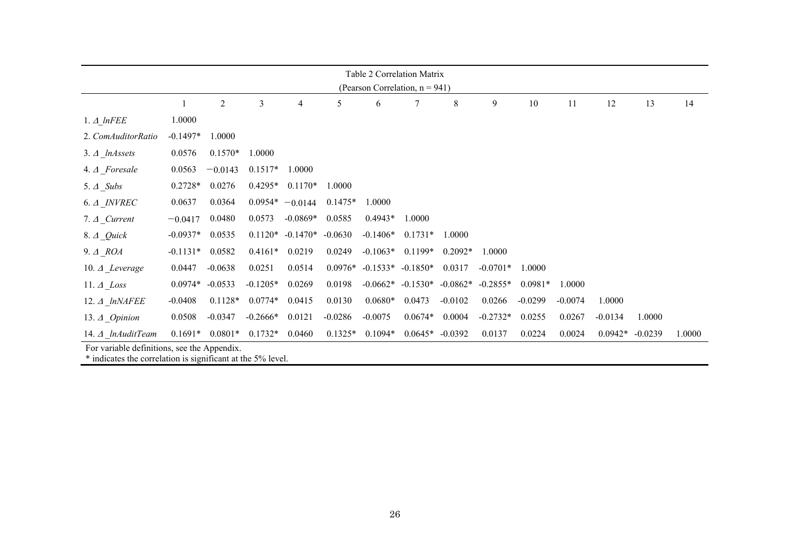| Table 2 Correlation Matrix     |                                             |           |            |                   |           |                     |            |                   |            |           |           |           |           |        |
|--------------------------------|---------------------------------------------|-----------|------------|-------------------|-----------|---------------------|------------|-------------------|------------|-----------|-----------|-----------|-----------|--------|
| (Pearson Correlation, n = 941) |                                             |           |            |                   |           |                     |            |                   |            |           |           |           |           |        |
|                                |                                             | 2         | 3          | 4                 | 5         | 6                   | 7          | 8                 | 9          | 10        | 11        | 12        | 13        | 14     |
| $1.4$ InFEE                    | 1.0000                                      |           |            |                   |           |                     |            |                   |            |           |           |           |           |        |
| 2. ComAuditorRatio             | $-0.1497*$                                  | 1.0000    |            |                   |           |                     |            |                   |            |           |           |           |           |        |
| $3. \Delta$ <i>lnAssets</i>    | 0.0576                                      | $0.1570*$ | 1.0000     |                   |           |                     |            |                   |            |           |           |           |           |        |
| 4. A Foresale                  | 0.0563                                      | $-0.0143$ | $0.1517*$  | 1.0000            |           |                     |            |                   |            |           |           |           |           |        |
| 5. $\triangle$ Subs            | $0.2728*$                                   | 0.0276    | $0.4295*$  | $0.1170*$         | 1.0000    |                     |            |                   |            |           |           |           |           |        |
| $6. \Delta$ <i>INVREC</i>      | 0.0637                                      | 0.0364    |            | $0.0954* -0.0144$ | $0.1475*$ | 1.0000              |            |                   |            |           |           |           |           |        |
| $7.4$ Current                  | $-0.0417$                                   | 0.0480    | 0.0573     | $-0.0869*$        | 0.0585    | $0.4943*$           | 1.0000     |                   |            |           |           |           |           |        |
| 8. $\triangle$ Quick           | $-0.0937*$                                  | 0.0535    | $0.1120*$  | $-0.1470*$        | $-0.0630$ | $-0.1406*$          | $0.1731*$  | 1.0000            |            |           |           |           |           |        |
| $9. \Delta$ ROA                | $-0.1131*$                                  | 0.0582    | $0.4161*$  | 0.0219            | 0.0249    | $-0.1063*$          | $0.1199*$  | $0.2092*$         | 1.0000     |           |           |           |           |        |
| 10. $\triangle$ Leverage       | 0.0447                                      | $-0.0638$ | 0.0251     | 0.0514            | $0.0976*$ | $-0.1533* -0.1850*$ |            | 0.0317            | $-0.0701*$ | 1.0000    |           |           |           |        |
| 11. $\triangle$ Loss           | $0.0974*$                                   | $-0.0533$ | $-0.1205*$ | 0.0269            | 0.0198    | $-0.0662*$          | $-0.1530*$ | $-0.0862*$        | $-0.2855*$ | $0.0981*$ | 1.0000    |           |           |        |
| 12. $\triangle$ lnNAFEE        | $-0.0408$                                   | $0.1128*$ | $0.0774*$  | 0.0415            | 0.0130    | $0.0680*$           | 0.0473     | $-0.0102$         | 0.0266     | $-0.0299$ | $-0.0074$ | 1.0000    |           |        |
| 13. $\triangle$ <i>Opinion</i> | 0.0508                                      | $-0.0347$ | $-0.2666*$ | 0.0121            | $-0.0286$ | $-0.0075$           | $0.0674*$  | 0.0004            | $-0.2732*$ | 0.0255    | 0.0267    | $-0.0134$ | 1.0000    |        |
| 14. $\Delta$ lnAuditTeam       | $0.1691*$                                   | $0.0801*$ | $0.1732*$  | 0.0460            | $0.1325*$ | $0.1094*$           |            | $0.0645* -0.0392$ | 0.0137     | 0.0224    | 0.0024    | $0.0942*$ | $-0.0239$ | 1.0000 |
|                                | For variable definitions, see the Appendix. |           |            |                   |           |                     |            |                   |            |           |           |           |           |        |

\* indicates the correlation is significant at the 5% level.